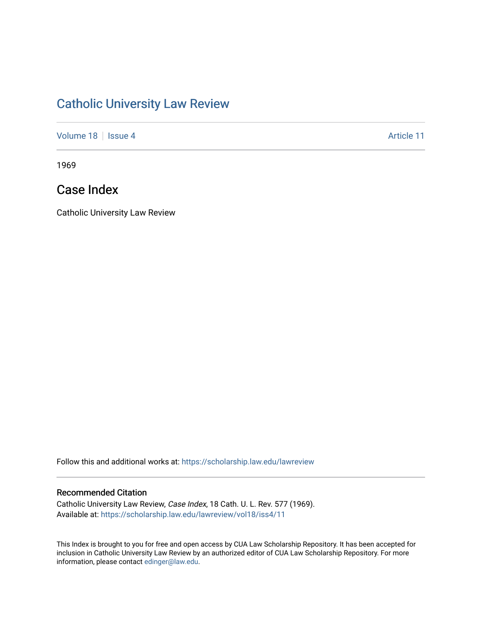# [Catholic University Law Review](https://scholarship.law.edu/lawreview)

[Volume 18](https://scholarship.law.edu/lawreview/vol18) | [Issue 4](https://scholarship.law.edu/lawreview/vol18/iss4) Article 11

1969

## Case Index

Catholic University Law Review

Follow this and additional works at: [https://scholarship.law.edu/lawreview](https://scholarship.law.edu/lawreview?utm_source=scholarship.law.edu%2Flawreview%2Fvol18%2Fiss4%2F11&utm_medium=PDF&utm_campaign=PDFCoverPages)

#### Recommended Citation

Catholic University Law Review, Case Index, 18 Cath. U. L. Rev. 577 (1969). Available at: [https://scholarship.law.edu/lawreview/vol18/iss4/11](https://scholarship.law.edu/lawreview/vol18/iss4/11?utm_source=scholarship.law.edu%2Flawreview%2Fvol18%2Fiss4%2F11&utm_medium=PDF&utm_campaign=PDFCoverPages) 

This Index is brought to you for free and open access by CUA Law Scholarship Repository. It has been accepted for inclusion in Catholic University Law Review by an authorized editor of CUA Law Scholarship Repository. For more information, please contact [edinger@law.edu.](mailto:edinger@law.edu)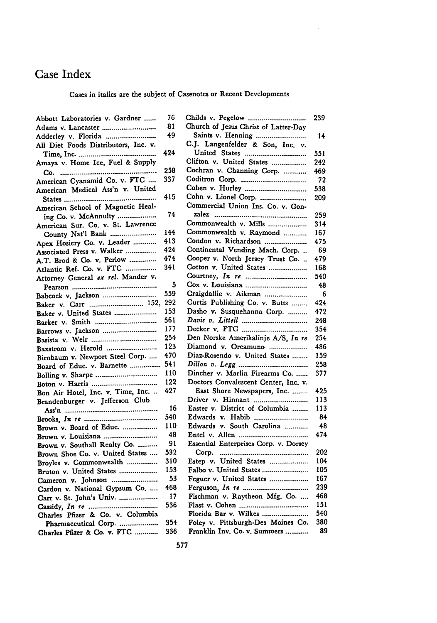### Case Index

#### Cases in italics are the subject of Casenotes or Recent Developments

| Abbott Laboratories v. Gardner       | 76  | Childs v. Pegelow                  |
|--------------------------------------|-----|------------------------------------|
| Adams v. Lancaster                   | 81  | Church of Jesus Christ of Latter-1 |
| Adderley v. Florida                  | 49  | Saints v. Henning                  |
| All Diet Foods Distributors, Inc. v. |     | C.J. Langenfelder & Son, Inc.      |
|                                      | 424 | United States                      |
| Amaya v. Home Ice, Fuel & Supply     |     | Clifton v. United States           |
|                                      | 258 | Cochran v. Channing Corp.          |
| American Cyanamid Co. v. FTC         | 337 | Coditron Corp.                     |
| American Medical Ass'n v. United     |     | Cohen v. Hurley                    |
|                                      | 415 | Cohn v. Lionel Corp.               |
| American School of Magnetic Heal-    |     | Commercial Union Ins. Co. v. C     |
| ing Co. v. McAnnulty                 | 74  |                                    |
| American Sur. Co. v. St. Lawrence    |     | Commonwealth v. Mills              |
| County Nat'l Bank                    | 144 | Commonwealth v. Raymond            |
| Apex Hosiery Co. v. Leader           | 413 | Condon v. Richardson               |
| Associated Press v. Walker           | 424 | Continental Vending Mach. Cor      |
| A.T. Brod & Co. v. Perlow            | 474 | Cooper v. North Jersey Trust C     |
| Atlantic Ref. Co. v. FTC             | 341 | Cotton v. United States            |
| Attorney General ex rel. Mander v.   |     | Courtney, <i>In re </i>            |
|                                      | 5   | Cox v. Louisiana                   |
| Babcock v. Jackson                   | 559 | Craigdallie v. Aikman              |
| Baker v. Carr  152, 292              |     | Curtis Publishing Co. v. Butts.    |
| Baker v. United States               | 153 | Dasho v. Susquehanna Corp.         |
| Barker v. Smith                      | 561 |                                    |
| Barrows v. Jackson                   | 177 |                                    |
| Basista v. Weir                      | 254 | Den Norske Amerikalinje A/S, I     |
| Baxstrom v. Herold                   | 123 | Diamond v. Oreamuno                |
| Birnbaum v. Newport Steel Corp.      | 470 | Diaz-Rosendo v. United States.     |
| Board of Educ. v. Barnette           | 541 |                                    |
|                                      | 110 | Dincher v. Marlin Firearms Co.     |
|                                      | 122 | Doctors Convalescent Center, In    |
| Bon Air Hotel, Inc. v. Time, Inc.    | 427 | East Shore Newspapers, Inc. .      |
| Brandenburger v. Jefferson Club      |     | Driver v. Hinnant                  |
|                                      | 16  | Easter v. District of Columbia.    |
|                                      | 540 | Edwards v. Habib                   |
| Brown v. Board of Educ.              | 110 | Edwards v. South Carolina          |
| Brown v. Louisiana                   | 48  | Entel v. Allen                     |
| Brown v. Southall Realty Co.         | 91  | Essential Enterprises Corp. v. Do  |
| Brown Shoe Co. v. United States      | 532 |                                    |
| Broyles v. Commonwealth              | 310 | Estep v. United States             |
| Bruton v. United States              | 153 | Falbo v. United States             |
| Cameron v. Johnson                   | 53  | Feguer v. United States            |
| Cardon v. National Gypsum Co.        | 468 |                                    |
| Carr v. St. John's Univ.             | 17  | Fischman v. Raytheon Mfg. Co       |
|                                      | 536 | Flast v. Cohen                     |
| Charles Pfizer & Co. v. Columbia     |     | Florida Bar v. Wilkes              |
| Pharmaceutical Corp.                 | 354 | Foley v. Pittsburgh-Des Moines     |
| Charles Pfizer & Co. v. FTC          | 336 | Franklin Inv. Co. v. Summers       |
|                                      |     |                                    |

| 76  | Childs v. Pegelow                     | 239 |
|-----|---------------------------------------|-----|
| 81  | Church of Jesus Christ of Latter-Day  |     |
| 49  | Saints v. Henning                     | 14  |
|     | C.J. Langenfelder & Son, Inc. v.      |     |
| 424 | United States                         | 551 |
|     | Clifton v. United States              | 242 |
| 258 | Cochran v. Channing Corp.             | 469 |
| 337 |                                       | 72  |
|     |                                       | 538 |
| 415 |                                       | 209 |
|     | Commercial Union Ins. Co. v. Gon-     |     |
| 74  |                                       | 259 |
|     | Commonwealth v. Mills                 | 314 |
| 144 | Commonwealth v. Raymond               | 167 |
| 413 | Condon v. Richardson                  | 475 |
| 424 | Continental Vending Mach. Corp.       | 69  |
| 474 | Cooper v. North Jersey Trust Co.      | 479 |
| 341 | Cotton v. United States               | 168 |
|     | Courtney, <i>In te </i>               | 540 |
| 5   |                                       | 48  |
| 559 | Craigdallie v. Aikman                 | 6   |
| 292 | Curtis Publishing Co. v. Butts        | 424 |
| 153 | Dasho v. Susquehanna Corp.            | 472 |
| 561 |                                       | 248 |
| 177 |                                       | 354 |
| 254 | Den Norske Amerikalinje A/S, In re    | 254 |
| 123 | Diamond v. Oreamuno                   | 486 |
| 470 | Diaz-Rosendo v. United States         | 159 |
| 541 |                                       | 258 |
| 110 | Dincher v. Marlin Firearms Co.        | 377 |
| 122 | Doctors Convalescent Center, Inc. v.  |     |
| 427 | East Shore Newspapers, Inc.           | 425 |
|     | Driver v. Hinnant                     | 113 |
| 16  | Easter v. District of Columbia        | 113 |
| 540 | Edwards v. Habib                      | 84  |
| 110 | Edwards v. South Carolina             | 48  |
| 48  |                                       | 474 |
| 91  | Essential Enterprises Corp. v. Dorsey |     |
| 532 |                                       | 202 |
| 310 | Estep v. United States                | 104 |
| 153 | Falbo v. United States                | 105 |
| 53  | Feguer v. United States               | 167 |
| 468 |                                       | 239 |
| 17  | Fischman v. Raytheon Mfg. Co.         | 468 |
| 536 |                                       | 151 |
|     | Florida Bar v. Wilkes                 | 540 |
| 354 | Foley v. Pittsburgh-Des Moines Co.    | 380 |
| 336 | Franklin Inv. Co. v. Summers          | 89  |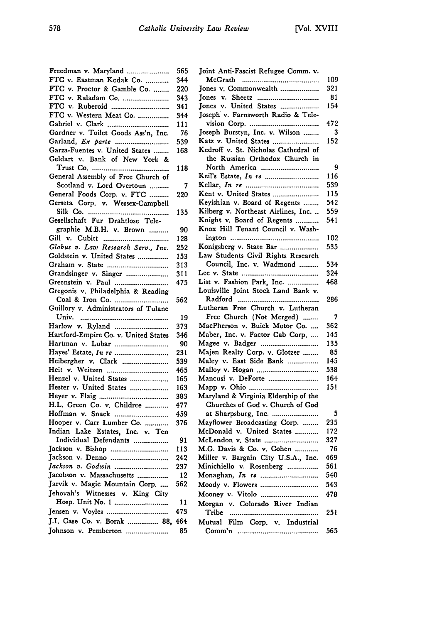| Freedman v. Maryland                           | 565       |
|------------------------------------------------|-----------|
| FTC v. Eastman Kodak Co.                       | 344       |
| FTC v. Proctor & Gamble Co.                    | 220       |
| FTC v. Raladam Co.                             | 343       |
| FTC v. Ruberoid                                | 341       |
| FTC v. Western Meat Co.                        | 344       |
|                                                | 111       |
| Gardner v. Toilet Goods Ass'n, Inc.            | 76        |
|                                                | 539       |
| Garza-Fuentes v. United States                 | 168       |
| Geldart v. Bank of New York &                  |           |
|                                                | 118       |
| General Assembly of Free Church of             |           |
| Scotland v. Lord Overtoun                      | 7         |
| General Foods Corp. v. FTC                     | 220       |
| Gerseta Corp. v. Wessex-Campbell               |           |
|                                                | 135       |
| Gesellschaft Fur Drahtlose Tele-               |           |
| graphie M.B.H. v. Brown                        | 90        |
|                                                | 128       |
| Globus v. Law Research Serv., Inc.             | 252       |
| Goldstein v. United States                     | 153       |
|                                                | 313       |
| Grandsinger v. Singer                          | 311       |
|                                                | 475       |
| Gregonis v. Philadelphia & Reading             |           |
|                                                |           |
| Guillory v. Administrators of Tulane           | 562       |
|                                                | 19        |
| Harlow v. Ryland                               | 373       |
| Hartford-Empire Co. v. United States           | 346       |
| Hartman v. Lubar                               | 90        |
|                                                | 231       |
| Heibergher v. Clark                            | 539       |
| Heit v. Weitzen                                | 465       |
| Henzel v. United States                        | 165       |
| Hester v. United States                        | 163       |
|                                                | 383       |
|                                                | 477       |
| H.L. Green Co. v. Childree<br>Hoffman v. Snack | 459       |
| Hooper v. Carr Lumber Co.                      | 376       |
| Indian Lake Estates, Inc. v. Ten               |           |
| Individual Defendants                          |           |
| Jackson v. Bishop                              | 91<br>113 |
|                                                |           |
| Jackson v. Denno<br>Jackson v. Godwin          | 242       |
|                                                | 237       |
| Jacobson v. Massachusetts                      | 12        |
| Jarvik v. Magic Mountain Corp.                 | 562       |
| Jehovah's Witnesses v. King City               |           |
| Hosp. Unit No. 1                               | 11        |
|                                                | 473       |
| J.I. Case Co. v. Borak  88,                    | 464       |
| Johnson v. Pemberton                           | 85        |

| Joint Anti-Fascist Refugee Comm. v.  |     |
|--------------------------------------|-----|
| McGrath                              | 109 |
| Jones v. Commonwealth                | 321 |
| Jones v. Sheetz                      | 81  |
| Jones v. United States               | 154 |
| Joseph v. Farnsworth Radio & Tele-   |     |
|                                      | 472 |
| Joseph Burstyn, Inc. v. Wilson       | 3   |
| Katz v. United States                | 152 |
| Kedroff v. St. Nicholas Cathedral of |     |
| the Russian Orthodox Church in       |     |
| North America                        | 9   |
| Keil's Estate, In re                 | 116 |
|                                      | 539 |
| Kent v. United States                | 115 |
|                                      | 542 |
| Keyishian v. Board of Regents        |     |
| Kilberg v. Northeast Airlines, Inc.  | 559 |
| Knight v. Board of Regents           | 541 |
| Knox Hill Tenant Council v. Wash-    |     |
|                                      | 102 |
| Konigsberg v. State Bar              | 535 |
| Law Students Civil Rights Research   |     |
| Council, Inc. v. Wadmond             | 534 |
|                                      | 324 |
| List v. Fashion Park, Inc.           | 468 |
| Louisville Joint Stock Land Bank v.  |     |
|                                      | 286 |
| Lutheran Free Church v. Lutheran     |     |
| Free Church (Not Merged)             | 7   |
| MacPherson v. Buick Motor Co.        | 362 |
| Maber, Inc. v. Factor Cab Corp.      | 145 |
| Magee v. Badger                      | 135 |
| Majen Realty Corp. v. Glotzer        | 85  |
| Maley v. East Side Bank              | 145 |
|                                      | 538 |
| Mancusi v. DeForte                   | 164 |
|                                      | 151 |
| Maryland & Virginia Eldership of the |     |
| Churches of God v. Church of God     |     |
|                                      | 5   |
| at Sharpsburg, Inc.                  |     |
| Mayflower Broadcasting Corp.         | 235 |
| McDonald v. United States            | 172 |
| McLendon v. State                    | 327 |
| M.G. Davis & Co. v. Cohen            | 76  |
| Miller v. Bargain City U.S.A., Inc.  | 469 |
| Minichiello v. Rosenberg             | 561 |
|                                      | 540 |
| Moody v. Flowers                     | 543 |
| Mooney v. Vitolo                     | 478 |
| Morgan v. Colorado River Indian      |     |
| Tribe<br>                            | 251 |
| Film Corp. v. Industrial<br>Mutual   |     |
|                                      | 565 |
|                                      |     |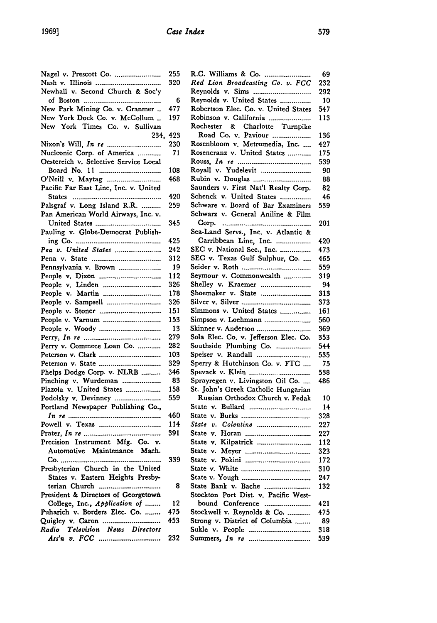| Nagel v. Prescott Co.                 | 255 | R.C. Williams &   |
|---------------------------------------|-----|-------------------|
|                                       | 320 | Red Lion Broad    |
| Newhall v. Second Church & Soc'y      |     | Reynolds v. Sim   |
|                                       | 6   | Reynolds v. Unit  |
| New Park Mining Co. v. Cranmer        | 477 | Robertson Elec.   |
| New York Dock Co. v. McCollum         | 197 | Robinson v. Cali  |
| New York Times Co. v. Sullivan        |     | Rochester & 0     |
| 234,                                  | 423 | Road Co. v.       |
| Nixon's Will, <i>In te </i>           | 230 | Rosenbloom v. N   |
|                                       |     |                   |
| Nucleonic Corp. of America            | 71  | Rosencranz v. U   |
| Oestereich v. Selective Service Local |     | Rouss, $In$ $re$  |
|                                       | 108 | Royall v. Yudel   |
|                                       | 468 | Rubin v. Dougla   |
| Pacific Far East Line, Inc. v. United |     | Saunders v. First |
|                                       | 420 | Schenck v. Unit   |
| Palsgraf v. Long Island R.R.          | 259 | Schware v. Boar   |
| Pan American World Airways, Inc. v.   |     | Schwarz v. Gene   |
|                                       | 345 | Corp.             |
| Pauling v. Globe-Democrat Publish-    |     | Sea-Land Servs.,  |
|                                       | 425 | Carribbean Li     |
| Pea v. United States                  | 242 | SEC v. National   |
|                                       | 312 | SEC v. Texas G    |
| Pennsylvania v. Brown                 | 19  | Seider v. Roth    |
|                                       |     |                   |
|                                       | 112 | Seymour v. Com    |
| People v. Linden                      | 326 | Shelley v. Kraer  |
|                                       | 178 | Shoemaker v. St   |
| People v. Sampsell                    | 326 | Silver v. Silver  |
|                                       | 151 | Simmons v. Uni    |
| People v. Varnum                      | 153 | Simpson v. Lochi  |
|                                       | 13  | Skinner v. Anders |
|                                       | 279 | Sola Elec. Co. v. |
| Perry v. Commece Loan Co.             | 282 | Southside Plumb   |
|                                       | 103 | Speiser v. Rand:  |
|                                       | 329 | Sperry & Hutchi   |
| Phelps Dodge Corp. v. NLRB            | 346 | Spevack v. Klein  |
| Pinching v. Wurdeman                  | 83  | Sprayregen v. Li  |
| Plazola v. United States              | 158 | St. John's Greek  |
| Podolsky v. Devinney                  | 559 | Russian Ortho     |
| Portland Newspaper Publishing Co.,    |     | State v. Bullard  |
|                                       | 460 | State v. Burks    |
|                                       |     |                   |
|                                       | 114 | State v. Colenti  |
|                                       | 391 | State v. Horan    |
| Precision Instrument Mfg. Co. v.      |     | State v. Kilpatri |
| Automotive Maintenance Mach.          |     | State v. Meyer    |
| Co.                                   | 339 | State v. Pokini   |
| Presbyterian Church in the United     |     | State v. White    |
| States v. Eastern Heights Presby-     |     | State v. Yough    |
| terian Church                         | 8   | State Bank v. B   |
| President & Directors of Georgetown   |     | Stockton Port D   |
| College, Inc., Application of         | 12  | bound Confer      |
| Puharich v. Borders Elec. Co.         | 475 | Stockwell v. Rey  |
| Quigley v. Caron                      | 453 | Strong v. Distric |
| Television News Directors<br>Radio    |     | Sukle v. People   |
|                                       | 232 | Summers, In re    |
|                                       |     |                   |
|                                       |     |                   |

| R.C. Williams & Co.                                                     | 69  |
|-------------------------------------------------------------------------|-----|
| Red Lion Broadcasting Co. v. FCC                                        | 232 |
|                                                                         | 292 |
| Reynolds v. United States                                               | 10  |
| Robertson Elec. Co. v. United States                                    | 547 |
| Robinson v. California                                                  | 113 |
| Rochester & Charlotte Turnpike                                          |     |
| Road Co. v. Paviour                                                     | 136 |
| Rosenbloom v. Metromedia, Inc.                                          | 427 |
| Rosencranz v. United States                                             | 175 |
|                                                                         | 539 |
| Royall v. Yudelevit                                                     | 90  |
| Rubin v. Douglas                                                        | 88  |
| Saunders v. First Nat'l Realty Corp.                                    | 82  |
| Schenck v. United States                                                | 46  |
| Schware v. Board of Bar Examiners                                       | 539 |
| Schwarz v. General Aniline & Film                                       |     |
| Corp.                                                                   | 201 |
| Sea-Land Servs., Inc. v. Atlantic &                                     |     |
| Carribbean Line, Inc.                                                   | 420 |
| SEC v. National Sec., Inc.                                              | 473 |
| SEC v. Texas Gulf Sulphur, Co.                                          | 465 |
|                                                                         | 559 |
| Seymour v. Commonwealth                                                 | 319 |
| Shelley v. Kraemer                                                      | 94  |
| Shoemaker v. State                                                      | 313 |
|                                                                         | 373 |
| Simmons v. United States                                                | 161 |
| Simpson v. Loehmann                                                     | 560 |
| Skinner v. Anderson                                                     | 369 |
| Sola Elec. Co. v. Jefferson Elec. Co.                                   | 353 |
| Southside Plumbing Co.                                                  | 544 |
| Speiser v. Randall                                                      | 535 |
| Sperry & Hutchinson Co. v. FTC                                          | 75  |
|                                                                         | 538 |
|                                                                         | 486 |
| Sprayregen v. Livingston Oil Co.<br>St. John's Greek Catholic Hungarian |     |
| Russian Orthodox Church v. Fedak                                        | 10  |
| State v. Bullard                                                        |     |
|                                                                         | 14  |
| State v. Colentine                                                      | 328 |
|                                                                         | 227 |
|                                                                         | 227 |
|                                                                         | 112 |
|                                                                         | 323 |
|                                                                         | 172 |
|                                                                         | 310 |
|                                                                         | 247 |
| State Bank v. Bache                                                     | 132 |
| Stockton Port Dist. v. Pacific West-                                    |     |
| bound Conference                                                        | 421 |
| Stockwell v. Reynolds & Co.                                             | 475 |
| Strong v. District of Columbia                                          | 89  |
| Sukle v. People                                                         | 318 |
| Summers, <i>In te </i>                                                  | 539 |
|                                                                         |     |